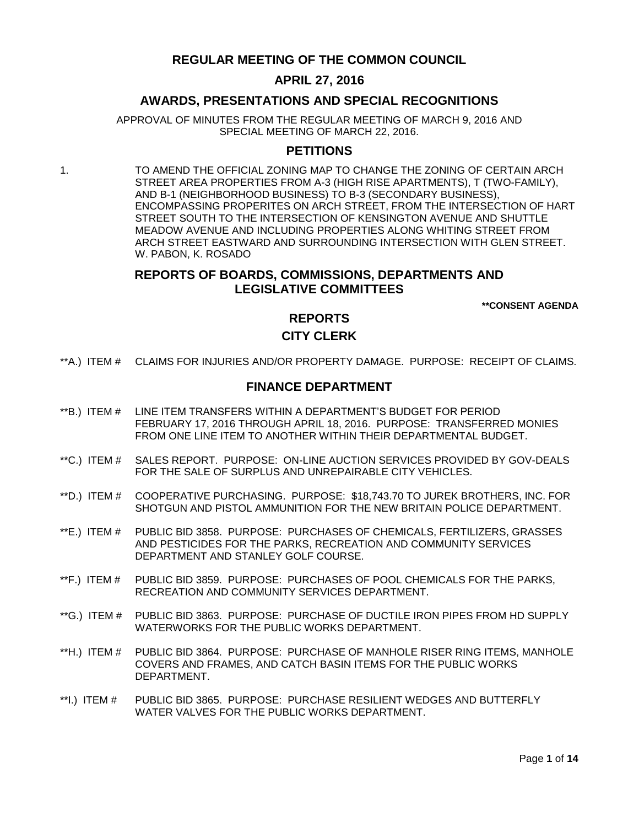# **REGULAR MEETING OF THE COMMON COUNCIL**

## **APRIL 27, 2016**

## **AWARDS, PRESENTATIONS AND SPECIAL RECOGNITIONS**

APPROVAL OF MINUTES FROM THE REGULAR MEETING OF MARCH 9, 2016 AND SPECIAL MEETING OF MARCH 22, 2016.

## **PETITIONS**

1. TO AMEND THE OFFICIAL ZONING MAP TO CHANGE THE ZONING OF CERTAIN ARCH STREET AREA PROPERTIES FROM A-3 (HIGH RISE APARTMENTS), T (TWO-FAMILY), AND B-1 (NEIGHBORHOOD BUSINESS) TO B-3 (SECONDARY BUSINESS), ENCOMPASSING PROPERITES ON ARCH STREET, FROM THE INTERSECTION OF HART STREET SOUTH TO THE INTERSECTION OF KENSINGTON AVENUE AND SHUTTLE MEADOW AVENUE AND INCLUDING PROPERTIES ALONG WHITING STREET FROM ARCH STREET EASTWARD AND SURROUNDING INTERSECTION WITH GLEN STREET. W. PABON, K. ROSADO

# **REPORTS OF BOARDS, COMMISSIONS, DEPARTMENTS AND LEGISLATIVE COMMITTEES**

**\*\*CONSENT AGENDA**

## **REPORTS**

## **CITY CLERK**

\*\*A.) ITEM # [CLAIMS FOR INJURIES AND/OR PROPERTY DAMAGE. PURPOSE: RECEIPT OF CLAIMS.](#page-2-0)

## **FINANCE DEPARTMENT**

- \*\*B.) ITEM # [LINE ITEM TRANSFERS WITHIN A DEPARTMENT'S BUDGET FOR PERIOD](#page-2-1)  [FEBRUARY 17, 2016 THROUGH APRIL 18, 2016. PURPOSE: TRANSFERRED MONIES](#page-2-1)  [FROM ONE LINE ITEM TO ANOTHER WITHIN THEIR DEPARTMENTAL BUDGET.](#page-2-1)
- \*\*C.) ITEM # [SALES REPORT. PURPOSE: ON-LINE AUCTION SERVICES PROVIDED BY GOV-DEALS](#page-3-0)  [FOR THE SALE OF SURPLUS AND UNREPAIRABLE CITY VEHICLES.](#page-3-0)
- \*\*D.) ITEM # [COOPERATIVE PURCHASING. PURPOSE: \\$18,743.70 TO JUREK BROTHERS, INC. FOR](#page-4-0)  [SHOTGUN AND PISTOL AMMUNITION FOR THE NEW BRITAIN POLICE DEPARTMENT.](#page-4-0)
- \*\*E.) ITEM # [PUBLIC BID 3858. PURPOSE: PURCHASES OF CHEMICALS, FERTILIZERS, GRASSES](#page-4-1)  [AND PESTICIDES FOR THE PARKS, RECREATION AND COMMUNITY SERVICES](#page-4-1)  [DEPARTMENT AND STANLEY GOLF COURSE.](#page-4-1)
- \*\*F.) ITEM # [PUBLIC BID 3859. PURPOSE: PURCHASES OF POOL CHEMICALS FOR THE PARKS,](#page-5-0)  [RECREATION AND COMMUNITY SERVICES DEPARTMENT.](#page-5-0)
- \*\*G.) ITEM # [PUBLIC BID 3863. PURPOSE: PURCHASE OF DUCTILE IRON PIPES FROM HD SUPPLY](#page-6-0)  [WATERWORKS FOR THE PUBLIC WORKS DEPARTMENT.](#page-6-0)
- \*\*H.) ITEM # [PUBLIC BID 3864. PURPOSE: PURCHASE OF MANHOLE RISER RING ITEMS, MANHOLE](#page-7-0)  [COVERS AND FRAMES, AND CATCH BASIN ITEMS FOR THE PUBLIC WORKS](#page-7-0)  [DEPARTMENT.](#page-7-0)
- \*\*I.) ITEM # [PUBLIC BID 3865. PURPOSE: PURCHASE RESILIENT WEDGES AND BUTTERFLY](#page-7-1)  WATER VALVES [FOR THE PUBLIC WORKS DEPARTMENT.](#page-7-1)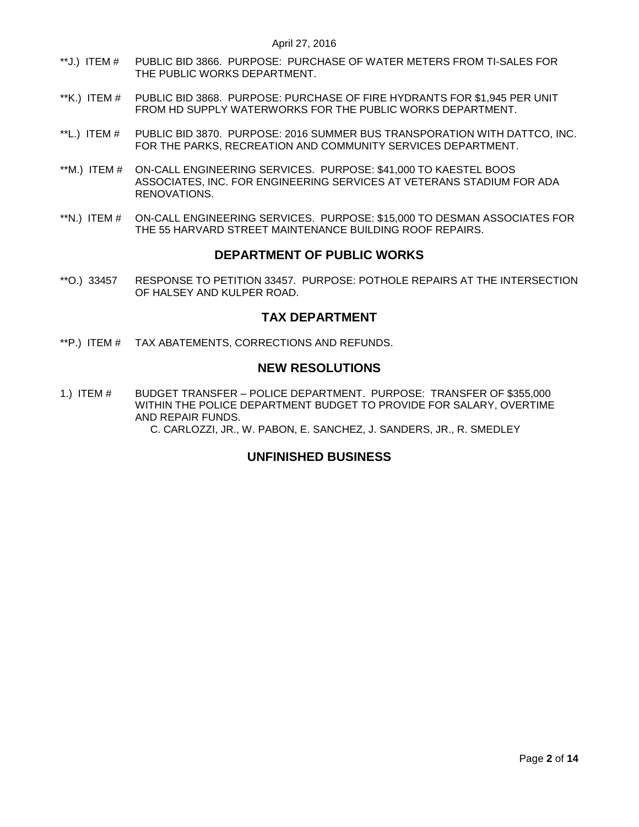- \*\*J.) ITEM # [PUBLIC BID 3866. PURPOSE: PURCHASE OF WATER METERS FROM TI-SALES FOR](#page-8-0)  [THE PUBLIC WORKS DEPARTMENT.](#page-8-0)
- \*\*K.) ITEM # [PUBLIC BID 3868. PURPOSE: PURCHASE OF FIRE HYDRANTS FOR \\$1,945 PER UNIT](#page-9-0)  [FROM HD SUPPLY WATERWORKS FOR THE PUBLIC WORKS DEPARTMENT.](#page-9-0)
- \*\*L.) ITEM # [PUBLIC BID 3870. PURPOSE: 2016 SUMMER BUS TRANSPORATION WITH DATTCO, INC.](#page-9-1)  [FOR THE PARKS, RECREATION AND COMMUNITY SERVICES DEPARTMENT.](#page-9-1)
- \*\*M.) ITEM # [ON-CALL ENGINEERING SERVICES. PURPOSE: \\$41,000 TO KAESTEL BOOS](#page-10-0)  [ASSOCIATES, INC. FOR ENGINEERING SERVICES AT VETERANS STADIUM FOR ADA](#page-10-0)  [RENOVATIONS.](#page-10-0)
- \*\*N.) ITEM # [ON-CALL ENGINEERING SERVICES. PURPOSE: \\$15,000 TO DESMAN ASSOCIATES FOR](#page-11-0)  [THE 55 HARVARD STREET MAINTENANCE BUILDING ROOF REPAIRS.](#page-11-0)

# **DEPARTMENT OF PUBLIC WORKS**

\*\*O.) 33457 [RESPONSE TO PETITION 33457. PURPOSE: POTHOLE REPAIRS AT THE INTERSECTION](#page-12-0)  [OF HALSEY AND KULPER ROAD.](#page-12-0)

# **TAX DEPARTMENT**

\*\*P.) ITEM # [TAX ABATEMENTS, CORRECTIONS AND](#page-12-1) REFUNDS.

# **NEW RESOLUTIONS**

1.) ITEM # BUDGET TRANSFER – [POLICE DEPARTMENT. PURPOSE: TRANSFER OF \\$355,000](#page-12-2)  [WITHIN THE POLICE DEPARTMENT BUDGET TO PROVIDE FOR SALARY, OVERTIME](#page-12-2)  [AND REPAIR FUNDS.](#page-12-2) 

[C. CARLOZZI, JR., W. PABON, E. SANCHEZ, J. SANDERS, JR., R. SMEDLEY](#page-12-2)

# **UNFINISHED BUSINESS**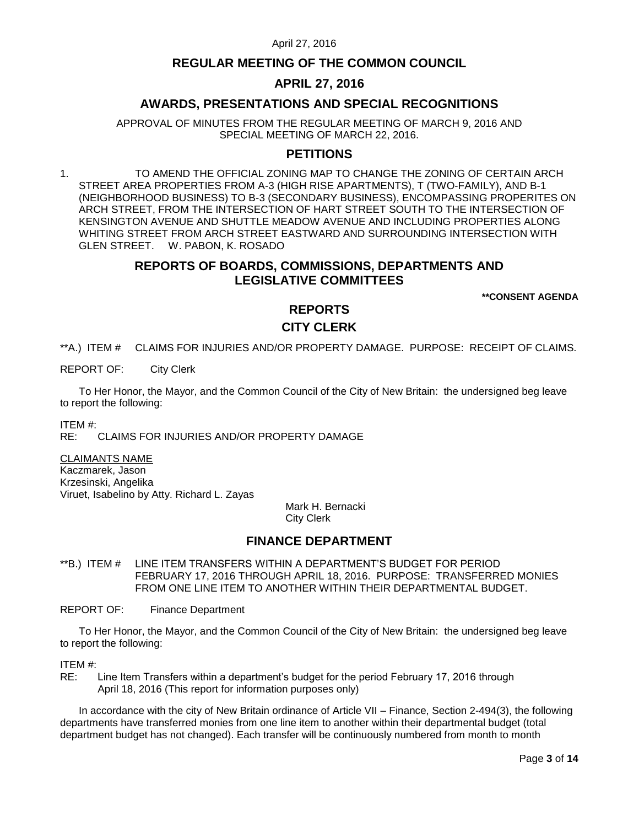# **REGULAR MEETING OF THE COMMON COUNCIL**

# **APRIL 27, 2016**

# **AWARDS, PRESENTATIONS AND SPECIAL RECOGNITIONS**

APPROVAL OF MINUTES FROM THE REGULAR MEETING OF MARCH 9, 2016 AND SPECIAL MEETING OF MARCH 22, 2016.

## **PETITIONS**

1. TO AMEND THE OFFICIAL ZONING MAP TO CHANGE THE ZONING OF CERTAIN ARCH STREET AREA PROPERTIES FROM A-3 (HIGH RISE APARTMENTS), T (TWO-FAMILY), AND B-1 (NEIGHBORHOOD BUSINESS) TO B-3 (SECONDARY BUSINESS), ENCOMPASSING PROPERITES ON ARCH STREET, FROM THE INTERSECTION OF HART STREET SOUTH TO THE INTERSECTION OF KENSINGTON AVENUE AND SHUTTLE MEADOW AVENUE AND INCLUDING PROPERTIES ALONG WHITING STREET FROM ARCH STREET EASTWARD AND SURROUNDING INTERSECTION WITH GLEN STREET. W. PABON, K. ROSADO

# **REPORTS OF BOARDS, COMMISSIONS, DEPARTMENTS AND LEGISLATIVE COMMITTEES**

**\*\*CONSENT AGENDA**

# **REPORTS CITY CLERK**

<span id="page-2-0"></span>\*\*A.) ITEM # CLAIMS FOR INJURIES AND/OR PROPERTY DAMAGE. PURPOSE: RECEIPT OF CLAIMS.

REPORT OF: City Clerk

To Her Honor, the Mayor, and the Common Council of the City of New Britain: the undersigned beg leave to report the following:

ITEM #:

RE: CLAIMS FOR INJURIES AND/OR PROPERTY DAMAGE

CLAIMANTS NAME

Kaczmarek, Jason Krzesinski, Angelika Viruet, Isabelino by Atty. Richard L. Zayas

Mark H. Bernacki City Clerk

# **FINANCE DEPARTMENT**

<span id="page-2-1"></span>\*\*B.) ITEM # LINE ITEM TRANSFERS WITHIN A DEPARTMENT'S BUDGET FOR PERIOD FEBRUARY 17, 2016 THROUGH APRIL 18, 2016. PURPOSE: TRANSFERRED MONIES FROM ONE LINE ITEM TO ANOTHER WITHIN THEIR DEPARTMENTAL BUDGET.

REPORT OF: Finance Department

To Her Honor, the Mayor, and the Common Council of the City of New Britain: the undersigned beg leave to report the following:

ITEM #:

RE: Line Item Transfers within a department's budget for the period February 17, 2016 through April 18, 2016 (This report for information purposes only)

In accordance with the city of New Britain ordinance of Article VII – Finance, Section 2-494(3), the following departments have transferred monies from one line item to another within their departmental budget (total department budget has not changed). Each transfer will be continuously numbered from month to month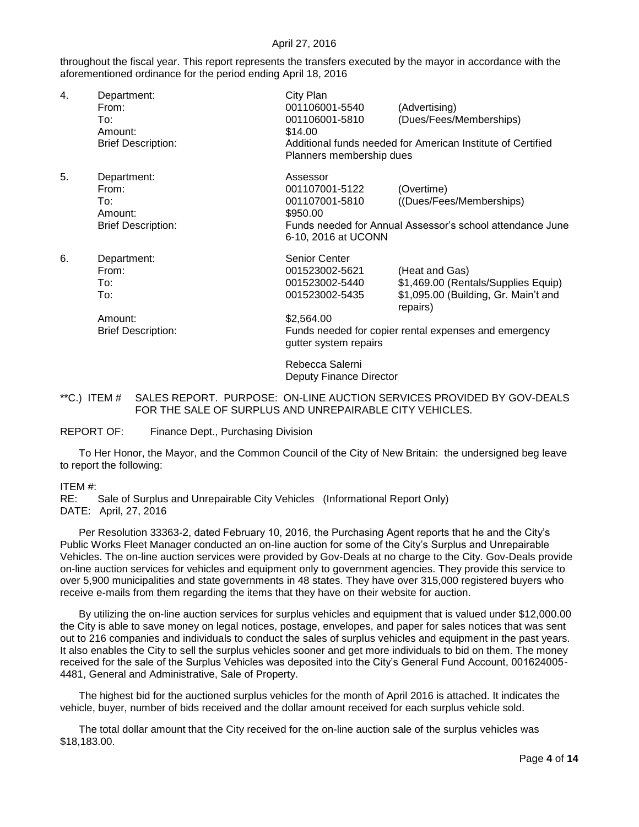throughout the fiscal year. This report represents the transfers executed by the mayor in accordance with the aforementioned ordinance for the period ending April 18, 2016

| 4. | Department:<br>From:<br>To:<br>Amount:<br><b>Brief Description:</b>        | City Plan<br>001106001-5540<br>001106001-5810<br>\$14.00<br>Planners membership dues                       | (Advertising)<br>(Dues/Fees/Memberships)<br>Additional funds needed for American Institute of Certified                                                            |
|----|----------------------------------------------------------------------------|------------------------------------------------------------------------------------------------------------|--------------------------------------------------------------------------------------------------------------------------------------------------------------------|
| 5. | Department:<br>From:<br>To:<br>Amount:<br><b>Brief Description:</b>        | Assessor<br>001107001-5122<br>001107001-5810<br>\$950.00<br>6-10, 2016 at UCONN                            | (Overtime)<br>((Dues/Fees/Memberships)<br>Funds needed for Annual Assessor's school attendance June                                                                |
| 6. | Department:<br>From:<br>To:<br>To:<br>Amount:<br><b>Brief Description:</b> | Senior Center<br>001523002-5621<br>001523002-5440<br>001523002-5435<br>\$2,564.00<br>gutter system repairs | (Heat and Gas)<br>\$1,469.00 (Rentals/Supplies Equip)<br>\$1,095.00 (Building, Gr. Main't and<br>repairs)<br>Funds needed for copier rental expenses and emergency |
|    |                                                                            | Rebecca Salerni                                                                                            |                                                                                                                                                                    |

Deputy Finance Director

<span id="page-3-0"></span>\*\*C.) ITEM # SALES REPORT. PURPOSE: ON-LINE AUCTION SERVICES PROVIDED BY GOV-DEALS FOR THE SALE OF SURPLUS AND UNREPAIRABLE CITY VEHICLES.

REPORT OF: Finance Dept., Purchasing Division

To Her Honor, the Mayor, and the Common Council of the City of New Britain: the undersigned beg leave to report the following:

#### ITEM #:

RE: Sale of Surplus and Unrepairable City Vehicles (Informational Report Only) DATE: April, 27, 2016

Per Resolution 33363-2, dated February 10, 2016, the Purchasing Agent reports that he and the City's Public Works Fleet Manager conducted an on-line auction for some of the City's Surplus and Unrepairable Vehicles. The on-line auction services were provided by Gov-Deals at no charge to the City. Gov-Deals provide on-line auction services for vehicles and equipment only to government agencies. They provide this service to over 5,900 municipalities and state governments in 48 states. They have over 315,000 registered buyers who receive e-mails from them regarding the items that they have on their website for auction.

By utilizing the on-line auction services for surplus vehicles and equipment that is valued under \$12,000.00 the City is able to save money on legal notices, postage, envelopes, and paper for sales notices that was sent out to 216 companies and individuals to conduct the sales of surplus vehicles and equipment in the past years. It also enables the City to sell the surplus vehicles sooner and get more individuals to bid on them. The money received for the sale of the Surplus Vehicles was deposited into the City's General Fund Account, 001624005- 4481, General and Administrative, Sale of Property.

The highest bid for the auctioned surplus vehicles for the month of April 2016 is attached. It indicates the vehicle, buyer, number of bids received and the dollar amount received for each surplus vehicle sold.

The total dollar amount that the City received for the on-line auction sale of the surplus vehicles was \$18,183.00.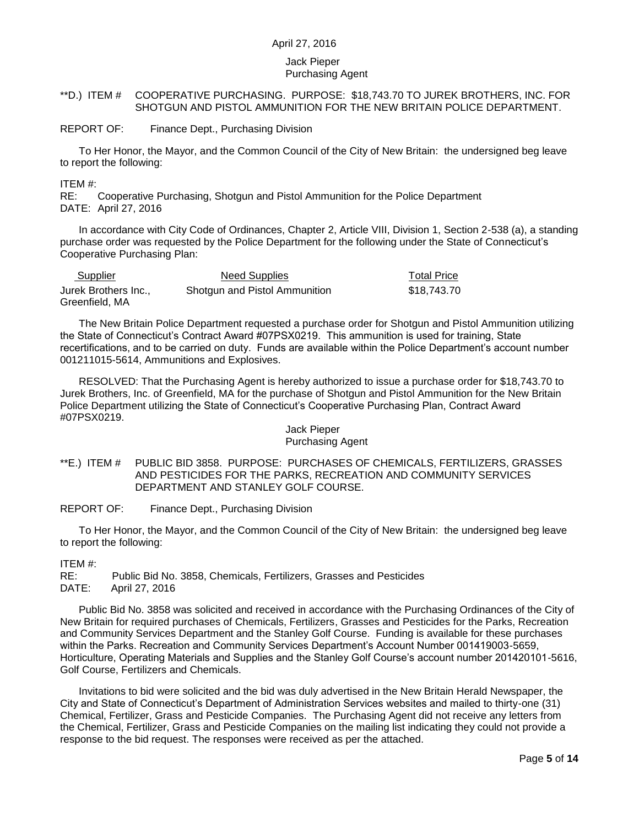#### Jack Pieper Purchasing Agent

## <span id="page-4-0"></span>\*\*D.) ITEM # COOPERATIVE PURCHASING. PURPOSE: \$18,743.70 TO JUREK BROTHERS, INC. FOR SHOTGUN AND PISTOL AMMUNITION FOR THE NEW BRITAIN POLICE DEPARTMENT.

REPORT OF: Finance Dept., Purchasing Division

To Her Honor, the Mayor, and the Common Council of the City of New Britain: the undersigned beg leave to report the following:

#### ITEM #:

RE: Cooperative Purchasing, Shotgun and Pistol Ammunition for the Police Department DATE: April 27, 2016

In accordance with City Code of Ordinances, Chapter 2, Article VIII, Division 1, Section 2-538 (a), a standing purchase order was requested by the Police Department for the following under the State of Connecticut's Cooperative Purchasing Plan:

| Supplier             | <b>Need Supplies</b>          | <b>Total Price</b> |
|----------------------|-------------------------------|--------------------|
| Jurek Brothers Inc., | Shotgun and Pistol Ammunition | \$18.743.70        |
| Greenfield, MA       |                               |                    |

The New Britain Police Department requested a purchase order for Shotgun and Pistol Ammunition utilizing the State of Connecticut's Contract Award #07PSX0219. This ammunition is used for training, State recertifications, and to be carried on duty. Funds are available within the Police Department's account number 001211015-5614, Ammunitions and Explosives.

RESOLVED: That the Purchasing Agent is hereby authorized to issue a purchase order for \$18,743.70 to Jurek Brothers, Inc. of Greenfield, MA for the purchase of Shotgun and Pistol Ammunition for the New Britain Police Department utilizing the State of Connecticut's Cooperative Purchasing Plan, Contract Award #07PSX0219.

#### Jack Pieper Purchasing Agent

<span id="page-4-1"></span>\*\*E.) ITEM # PUBLIC BID 3858. PURPOSE: PURCHASES OF CHEMICALS, FERTILIZERS, GRASSES AND PESTICIDES FOR THE PARKS, RECREATION AND COMMUNITY SERVICES DEPARTMENT AND STANLEY GOLF COURSE.

REPORT OF: Finance Dept., Purchasing Division

To Her Honor, the Mayor, and the Common Council of the City of New Britain: the undersigned beg leave to report the following:

## ITEM #:

RE: Public Bid No. 3858, Chemicals, Fertilizers, Grasses and Pesticides DATE: April 27, 2016

Public Bid No. 3858 was solicited and received in accordance with the Purchasing Ordinances of the City of New Britain for required purchases of Chemicals, Fertilizers, Grasses and Pesticides for the Parks, Recreation and Community Services Department and the Stanley Golf Course. Funding is available for these purchases within the Parks. Recreation and Community Services Department's Account Number 001419003-5659, Horticulture, Operating Materials and Supplies and the Stanley Golf Course's account number 201420101-5616, Golf Course, Fertilizers and Chemicals.

Invitations to bid were solicited and the bid was duly advertised in the New Britain Herald Newspaper, the City and State of Connecticut's Department of Administration Services websites and mailed to thirty-one (31) Chemical, Fertilizer, Grass and Pesticide Companies. The Purchasing Agent did not receive any letters from the Chemical, Fertilizer, Grass and Pesticide Companies on the mailing list indicating they could not provide a response to the bid request. The responses were received as per the attached.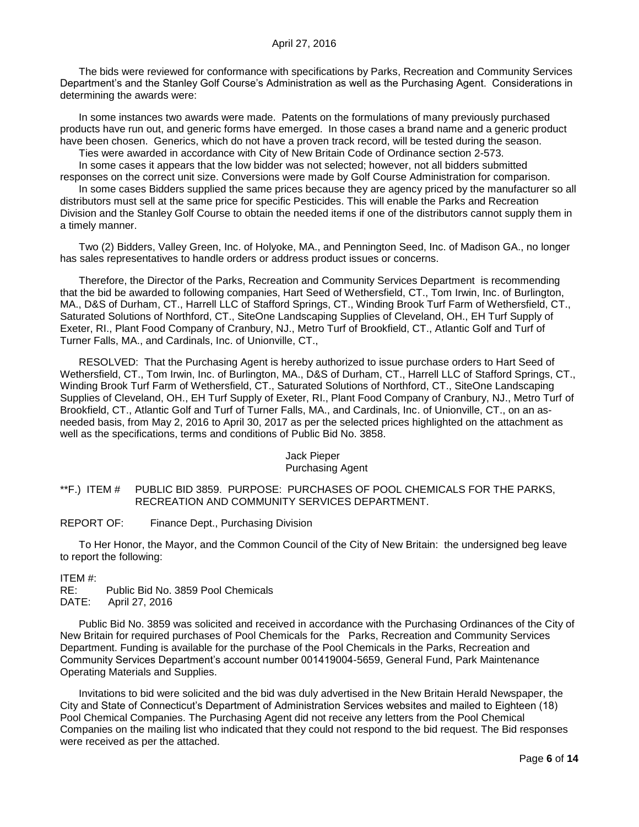The bids were reviewed for conformance with specifications by Parks, Recreation and Community Services Department's and the Stanley Golf Course's Administration as well as the Purchasing Agent. Considerations in determining the awards were:

In some instances two awards were made. Patents on the formulations of many previously purchased products have run out, and generic forms have emerged. In those cases a brand name and a generic product have been chosen. Generics, which do not have a proven track record, will be tested during the season.

Ties were awarded in accordance with City of New Britain Code of Ordinance section 2-573.

In some cases it appears that the low bidder was not selected; however, not all bidders submitted responses on the correct unit size. Conversions were made by Golf Course Administration for comparison. In some cases Bidders supplied the same prices because they are agency priced by the manufacturer so all

distributors must sell at the same price for specific Pesticides. This will enable the Parks and Recreation Division and the Stanley Golf Course to obtain the needed items if one of the distributors cannot supply them in a timely manner.

Two (2) Bidders, Valley Green, Inc. of Holyoke, MA., and Pennington Seed, Inc. of Madison GA., no longer has sales representatives to handle orders or address product issues or concerns.

Therefore, the Director of the Parks, Recreation and Community Services Department is recommending that the bid be awarded to following companies, Hart Seed of Wethersfield, CT., Tom Irwin, Inc. of Burlington, MA., D&S of Durham, CT., Harrell LLC of Stafford Springs, CT., Winding Brook Turf Farm of Wethersfield, CT., Saturated Solutions of Northford, CT., SiteOne Landscaping Supplies of Cleveland, OH., EH Turf Supply of Exeter, RI., Plant Food Company of Cranbury, NJ., Metro Turf of Brookfield, CT., Atlantic Golf and Turf of Turner Falls, MA., and Cardinals, Inc. of Unionville, CT.,

RESOLVED: That the Purchasing Agent is hereby authorized to issue purchase orders to Hart Seed of Wethersfield, CT., Tom Irwin, Inc. of Burlington, MA., D&S of Durham, CT., Harrell LLC of Stafford Springs, CT., Winding Brook Turf Farm of Wethersfield, CT., Saturated Solutions of Northford, CT., SiteOne Landscaping Supplies of Cleveland, OH., EH Turf Supply of Exeter, RI., Plant Food Company of Cranbury, NJ., Metro Turf of Brookfield, CT., Atlantic Golf and Turf of Turner Falls, MA., and Cardinals, Inc. of Unionville, CT., on an asneeded basis, from May 2, 2016 to April 30, 2017 as per the selected prices highlighted on the attachment as well as the specifications, terms and conditions of Public Bid No. 3858.

#### Jack Pieper Purchasing Agent

<span id="page-5-0"></span>\*\*F.) ITEM # PUBLIC BID 3859. PURPOSE: PURCHASES OF POOL CHEMICALS FOR THE PARKS, RECREATION AND COMMUNITY SERVICES DEPARTMENT.

REPORT OF: Finance Dept., Purchasing Division

To Her Honor, the Mayor, and the Common Council of the City of New Britain: the undersigned beg leave to report the following:

ITEM #:

RE: Public Bid No. 3859 Pool Chemicals

DATE: April 27, 2016

Public Bid No. 3859 was solicited and received in accordance with the Purchasing Ordinances of the City of New Britain for required purchases of Pool Chemicals for the Parks, Recreation and Community Services Department. Funding is available for the purchase of the Pool Chemicals in the Parks, Recreation and Community Services Department's account number 001419004-5659, General Fund, Park Maintenance Operating Materials and Supplies.

Invitations to bid were solicited and the bid was duly advertised in the New Britain Herald Newspaper, the City and State of Connecticut's Department of Administration Services websites and mailed to Eighteen (18) Pool Chemical Companies. The Purchasing Agent did not receive any letters from the Pool Chemical Companies on the mailing list who indicated that they could not respond to the bid request. The Bid responses were received as per the attached.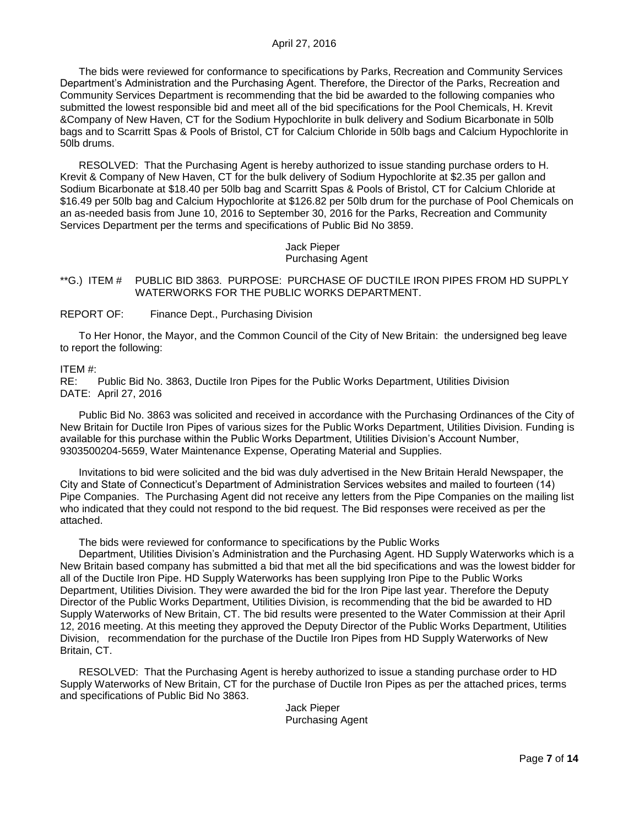The bids were reviewed for conformance to specifications by Parks, Recreation and Community Services Department's Administration and the Purchasing Agent. Therefore, the Director of the Parks, Recreation and Community Services Department is recommending that the bid be awarded to the following companies who submitted the lowest responsible bid and meet all of the bid specifications for the Pool Chemicals, H. Krevit &Company of New Haven, CT for the Sodium Hypochlorite in bulk delivery and Sodium Bicarbonate in 50lb bags and to Scarritt Spas & Pools of Bristol, CT for Calcium Chloride in 50lb bags and Calcium Hypochlorite in 50lb drums.

RESOLVED: That the Purchasing Agent is hereby authorized to issue standing purchase orders to H. Krevit & Company of New Haven, CT for the bulk delivery of Sodium Hypochlorite at \$2.35 per gallon and Sodium Bicarbonate at \$18.40 per 50lb bag and Scarritt Spas & Pools of Bristol, CT for Calcium Chloride at \$16.49 per 50lb bag and Calcium Hypochlorite at \$126.82 per 50lb drum for the purchase of Pool Chemicals on an as-needed basis from June 10, 2016 to September 30, 2016 for the Parks, Recreation and Community Services Department per the terms and specifications of Public Bid No 3859.

## Jack Pieper Purchasing Agent

## <span id="page-6-0"></span>\*\*G.) ITEM # PUBLIC BID 3863. PURPOSE: PURCHASE OF DUCTILE IRON PIPES FROM HD SUPPLY WATERWORKS FOR THE PUBLIC WORKS DEPARTMENT.

#### REPORT OF: Finance Dept., Purchasing Division

To Her Honor, the Mayor, and the Common Council of the City of New Britain: the undersigned beg leave to report the following:

#### ITEM #:

RE: Public Bid No. 3863, Ductile Iron Pipes for the Public Works Department, Utilities Division DATE: April 27, 2016

Public Bid No. 3863 was solicited and received in accordance with the Purchasing Ordinances of the City of New Britain for Ductile Iron Pipes of various sizes for the Public Works Department, Utilities Division. Funding is available for this purchase within the Public Works Department, Utilities Division's Account Number, 9303500204-5659, Water Maintenance Expense, Operating Material and Supplies.

Invitations to bid were solicited and the bid was duly advertised in the New Britain Herald Newspaper, the City and State of Connecticut's Department of Administration Services websites and mailed to fourteen (14) Pipe Companies. The Purchasing Agent did not receive any letters from the Pipe Companies on the mailing list who indicated that they could not respond to the bid request. The Bid responses were received as per the attached.

The bids were reviewed for conformance to specifications by the Public Works

Department, Utilities Division's Administration and the Purchasing Agent. HD Supply Waterworks which is a New Britain based company has submitted a bid that met all the bid specifications and was the lowest bidder for all of the Ductile Iron Pipe. HD Supply Waterworks has been supplying Iron Pipe to the Public Works Department, Utilities Division. They were awarded the bid for the Iron Pipe last year. Therefore the Deputy Director of the Public Works Department, Utilities Division, is recommending that the bid be awarded to HD Supply Waterworks of New Britain, CT. The bid results were presented to the Water Commission at their April 12, 2016 meeting. At this meeting they approved the Deputy Director of the Public Works Department, Utilities Division, recommendation for the purchase of the Ductile Iron Pipes from HD Supply Waterworks of New Britain, CT.

RESOLVED: That the Purchasing Agent is hereby authorized to issue a standing purchase order to HD Supply Waterworks of New Britain, CT for the purchase of Ductile Iron Pipes as per the attached prices, terms and specifications of Public Bid No 3863.

> Jack Pieper Purchasing Agent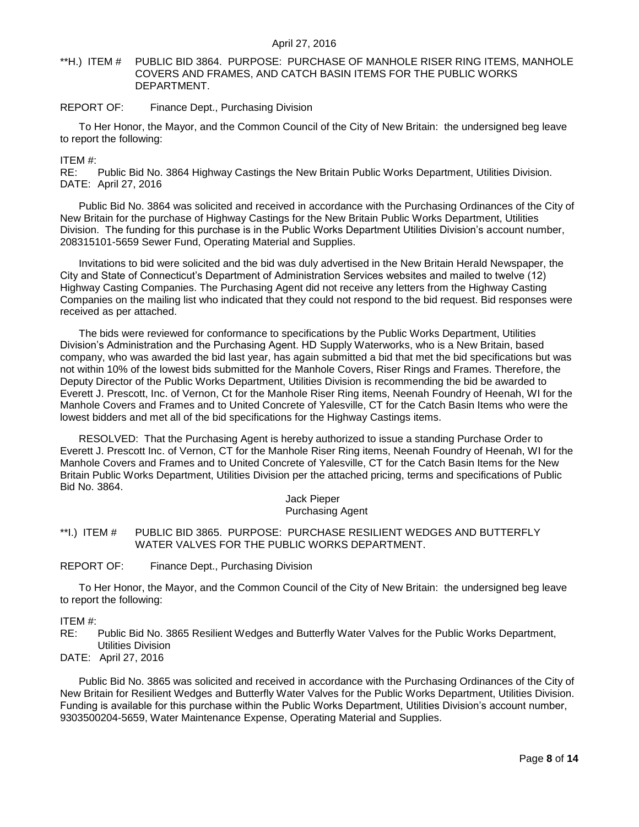## <span id="page-7-0"></span>\*\*H.) ITEM # PUBLIC BID 3864. PURPOSE: PURCHASE OF MANHOLE RISER RING ITEMS, MANHOLE COVERS AND FRAMES, AND CATCH BASIN ITEMS FOR THE PUBLIC WORKS DEPARTMENT.

## REPORT OF: Finance Dept., Purchasing Division

To Her Honor, the Mayor, and the Common Council of the City of New Britain: the undersigned beg leave to report the following:

ITEM #:

RE: Public Bid No. 3864 Highway Castings the New Britain Public Works Department, Utilities Division. DATE: April 27, 2016

Public Bid No. 3864 was solicited and received in accordance with the Purchasing Ordinances of the City of New Britain for the purchase of Highway Castings for the New Britain Public Works Department, Utilities Division. The funding for this purchase is in the Public Works Department Utilities Division's account number, 208315101-5659 Sewer Fund, Operating Material and Supplies.

Invitations to bid were solicited and the bid was duly advertised in the New Britain Herald Newspaper, the City and State of Connecticut's Department of Administration Services websites and mailed to twelve (12) Highway Casting Companies. The Purchasing Agent did not receive any letters from the Highway Casting Companies on the mailing list who indicated that they could not respond to the bid request. Bid responses were received as per attached.

The bids were reviewed for conformance to specifications by the Public Works Department, Utilities Division's Administration and the Purchasing Agent. HD Supply Waterworks, who is a New Britain, based company, who was awarded the bid last year, has again submitted a bid that met the bid specifications but was not within 10% of the lowest bids submitted for the Manhole Covers, Riser Rings and Frames. Therefore, the Deputy Director of the Public Works Department, Utilities Division is recommending the bid be awarded to Everett J. Prescott, Inc. of Vernon, Ct for the Manhole Riser Ring items, Neenah Foundry of Heenah, WI for the Manhole Covers and Frames and to United Concrete of Yalesville, CT for the Catch Basin Items who were the lowest bidders and met all of the bid specifications for the Highway Castings items.

RESOLVED: That the Purchasing Agent is hereby authorized to issue a standing Purchase Order to Everett J. Prescott Inc. of Vernon, CT for the Manhole Riser Ring items, Neenah Foundry of Heenah, WI for the Manhole Covers and Frames and to United Concrete of Yalesville, CT for the Catch Basin Items for the New Britain Public Works Department, Utilities Division per the attached pricing, terms and specifications of Public Bid No. 3864.

> Jack Pieper Purchasing Agent

<span id="page-7-1"></span>\*\*I.) ITEM # PUBLIC BID 3865. PURPOSE: PURCHASE RESILIENT WEDGES AND BUTTERFLY WATER VALVES FOR THE PUBLIC WORKS DEPARTMENT.

REPORT OF: Finance Dept., Purchasing Division

To Her Honor, the Mayor, and the Common Council of the City of New Britain: the undersigned beg leave to report the following:

## ITEM #:

RE: Public Bid No. 3865 Resilient Wedges and Butterfly Water Valves for the Public Works Department, Utilities Division

DATE: April 27, 2016

Public Bid No. 3865 was solicited and received in accordance with the Purchasing Ordinances of the City of New Britain for Resilient Wedges and Butterfly Water Valves for the Public Works Department, Utilities Division. Funding is available for this purchase within the Public Works Department, Utilities Division's account number, 9303500204-5659, Water Maintenance Expense, Operating Material and Supplies.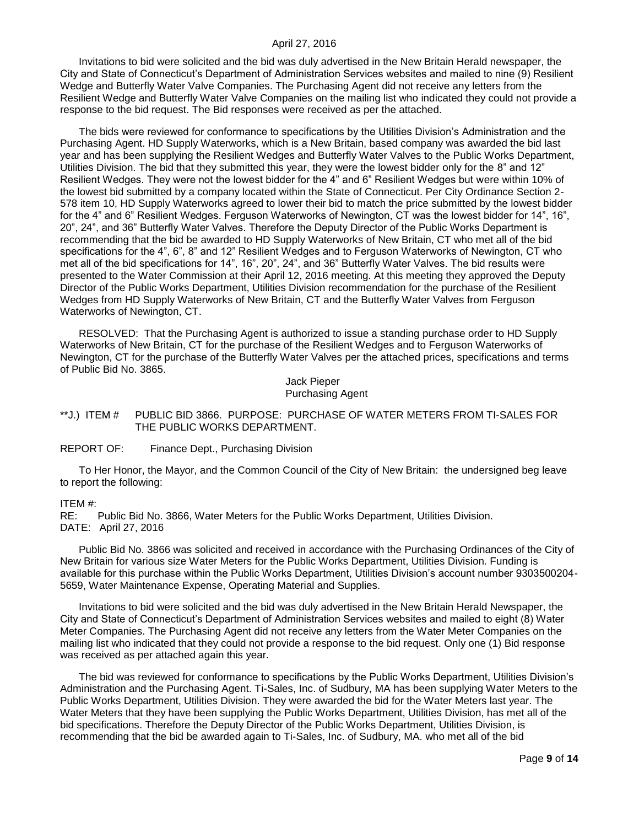Invitations to bid were solicited and the bid was duly advertised in the New Britain Herald newspaper, the City and State of Connecticut's Department of Administration Services websites and mailed to nine (9) Resilient Wedge and Butterfly Water Valve Companies. The Purchasing Agent did not receive any letters from the Resilient Wedge and Butterfly Water Valve Companies on the mailing list who indicated they could not provide a response to the bid request. The Bid responses were received as per the attached.

The bids were reviewed for conformance to specifications by the Utilities Division's Administration and the Purchasing Agent. HD Supply Waterworks, which is a New Britain, based company was awarded the bid last year and has been supplying the Resilient Wedges and Butterfly Water Valves to the Public Works Department, Utilities Division. The bid that they submitted this year, they were the lowest bidder only for the 8" and 12" Resilient Wedges. They were not the lowest bidder for the 4" and 6" Resilient Wedges but were within 10% of the lowest bid submitted by a company located within the State of Connecticut. Per City Ordinance Section 2- 578 item 10, HD Supply Waterworks agreed to lower their bid to match the price submitted by the lowest bidder for the 4" and 6" Resilient Wedges. Ferguson Waterworks of Newington, CT was the lowest bidder for 14", 16", 20", 24", and 36" Butterfly Water Valves. Therefore the Deputy Director of the Public Works Department is recommending that the bid be awarded to HD Supply Waterworks of New Britain, CT who met all of the bid specifications for the 4", 6", 8" and 12" Resilient Wedges and to Ferguson Waterworks of Newington, CT who met all of the bid specifications for 14", 16", 20", 24", and 36" Butterfly Water Valves. The bid results were presented to the Water Commission at their April 12, 2016 meeting. At this meeting they approved the Deputy Director of the Public Works Department, Utilities Division recommendation for the purchase of the Resilient Wedges from HD Supply Waterworks of New Britain, CT and the Butterfly Water Valves from Ferguson Waterworks of Newington, CT.

RESOLVED: That the Purchasing Agent is authorized to issue a standing purchase order to HD Supply Waterworks of New Britain, CT for the purchase of the Resilient Wedges and to Ferguson Waterworks of Newington, CT for the purchase of the Butterfly Water Valves per the attached prices, specifications and terms of Public Bid No. 3865.

Jack Pieper Purchasing Agent

## <span id="page-8-0"></span>\*\*J.) ITEM # PUBLIC BID 3866. PURPOSE: PURCHASE OF WATER METERS FROM TI-SALES FOR THE PUBLIC WORKS DEPARTMENT.

## REPORT OF: Finance Dept., Purchasing Division

To Her Honor, the Mayor, and the Common Council of the City of New Britain: the undersigned beg leave to report the following:

#### ITEM #:

RE: Public Bid No. 3866, Water Meters for the Public Works Department, Utilities Division. DATE: April 27, 2016

Public Bid No. 3866 was solicited and received in accordance with the Purchasing Ordinances of the City of New Britain for various size Water Meters for the Public Works Department, Utilities Division. Funding is available for this purchase within the Public Works Department, Utilities Division's account number 9303500204- 5659, Water Maintenance Expense, Operating Material and Supplies.

Invitations to bid were solicited and the bid was duly advertised in the New Britain Herald Newspaper, the City and State of Connecticut's Department of Administration Services websites and mailed to eight (8) Water Meter Companies. The Purchasing Agent did not receive any letters from the Water Meter Companies on the mailing list who indicated that they could not provide a response to the bid request. Only one (1) Bid response was received as per attached again this year.

The bid was reviewed for conformance to specifications by the Public Works Department, Utilities Division's Administration and the Purchasing Agent. Ti-Sales, Inc. of Sudbury, MA has been supplying Water Meters to the Public Works Department, Utilities Division. They were awarded the bid for the Water Meters last year. The Water Meters that they have been supplying the Public Works Department, Utilities Division, has met all of the bid specifications. Therefore the Deputy Director of the Public Works Department, Utilities Division, is recommending that the bid be awarded again to Ti-Sales, Inc. of Sudbury, MA. who met all of the bid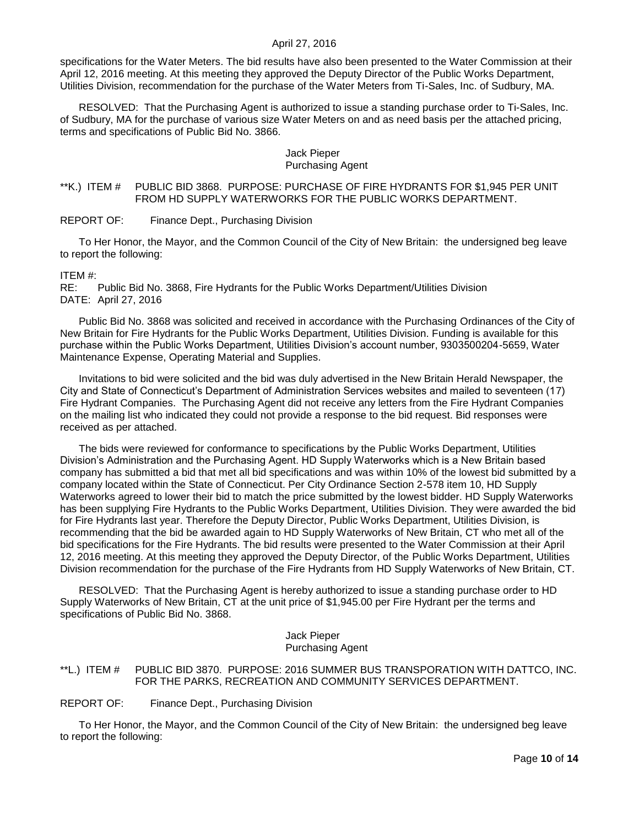specifications for the Water Meters. The bid results have also been presented to the Water Commission at their April 12, 2016 meeting. At this meeting they approved the Deputy Director of the Public Works Department, Utilities Division, recommendation for the purchase of the Water Meters from Ti-Sales, Inc. of Sudbury, MA.

RESOLVED: That the Purchasing Agent is authorized to issue a standing purchase order to Ti-Sales, Inc. of Sudbury, MA for the purchase of various size Water Meters on and as need basis per the attached pricing, terms and specifications of Public Bid No. 3866.

## Jack Pieper Purchasing Agent

<span id="page-9-0"></span>\*\*K.) ITEM # PUBLIC BID 3868. PURPOSE: PURCHASE OF FIRE HYDRANTS FOR \$1,945 PER UNIT FROM HD SUPPLY WATERWORKS FOR THE PUBLIC WORKS DEPARTMENT.

REPORT OF: Finance Dept., Purchasing Division

To Her Honor, the Mayor, and the Common Council of the City of New Britain: the undersigned beg leave to report the following:

ITEM #:

RE: Public Bid No. 3868, Fire Hydrants for the Public Works Department/Utilities Division DATE: April 27, 2016

Public Bid No. 3868 was solicited and received in accordance with the Purchasing Ordinances of the City of New Britain for Fire Hydrants for the Public Works Department, Utilities Division. Funding is available for this purchase within the Public Works Department, Utilities Division's account number, 9303500204-5659, Water Maintenance Expense, Operating Material and Supplies.

Invitations to bid were solicited and the bid was duly advertised in the New Britain Herald Newspaper, the City and State of Connecticut's Department of Administration Services websites and mailed to seventeen (17) Fire Hydrant Companies. The Purchasing Agent did not receive any letters from the Fire Hydrant Companies on the mailing list who indicated they could not provide a response to the bid request. Bid responses were received as per attached.

The bids were reviewed for conformance to specifications by the Public Works Department, Utilities Division's Administration and the Purchasing Agent. HD Supply Waterworks which is a New Britain based company has submitted a bid that met all bid specifications and was within 10% of the lowest bid submitted by a company located within the State of Connecticut. Per City Ordinance Section 2-578 item 10, HD Supply Waterworks agreed to lower their bid to match the price submitted by the lowest bidder. HD Supply Waterworks has been supplying Fire Hydrants to the Public Works Department, Utilities Division. They were awarded the bid for Fire Hydrants last year. Therefore the Deputy Director, Public Works Department, Utilities Division, is recommending that the bid be awarded again to HD Supply Waterworks of New Britain, CT who met all of the bid specifications for the Fire Hydrants. The bid results were presented to the Water Commission at their April 12, 2016 meeting. At this meeting they approved the Deputy Director, of the Public Works Department, Utilities Division recommendation for the purchase of the Fire Hydrants from HD Supply Waterworks of New Britain, CT.

RESOLVED: That the Purchasing Agent is hereby authorized to issue a standing purchase order to HD Supply Waterworks of New Britain, CT at the unit price of \$1,945.00 per Fire Hydrant per the terms and specifications of Public Bid No. 3868.

#### Jack Pieper Purchasing Agent

## <span id="page-9-1"></span>\*\*L.) ITEM # PUBLIC BID 3870. PURPOSE: 2016 SUMMER BUS TRANSPORATION WITH DATTCO, INC. FOR THE PARKS, RECREATION AND COMMUNITY SERVICES DEPARTMENT.

REPORT OF: Finance Dept., Purchasing Division

To Her Honor, the Mayor, and the Common Council of the City of New Britain: the undersigned beg leave to report the following: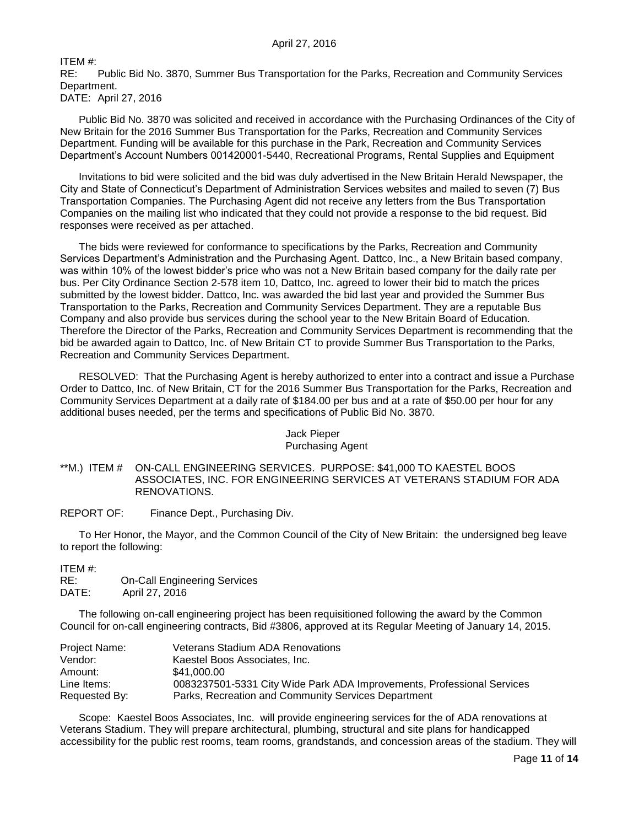ITEM #:

RE: Public Bid No. 3870, Summer Bus Transportation for the Parks, Recreation and Community Services Department. DATE: April 27, 2016

Public Bid No. 3870 was solicited and received in accordance with the Purchasing Ordinances of the City of New Britain for the 2016 Summer Bus Transportation for the Parks, Recreation and Community Services Department. Funding will be available for this purchase in the Park, Recreation and Community Services Department's Account Numbers 001420001-5440, Recreational Programs, Rental Supplies and Equipment

Invitations to bid were solicited and the bid was duly advertised in the New Britain Herald Newspaper, the City and State of Connecticut's Department of Administration Services websites and mailed to seven (7) Bus Transportation Companies. The Purchasing Agent did not receive any letters from the Bus Transportation Companies on the mailing list who indicated that they could not provide a response to the bid request. Bid responses were received as per attached.

The bids were reviewed for conformance to specifications by the Parks, Recreation and Community Services Department's Administration and the Purchasing Agent. Dattco, Inc., a New Britain based company, was within 10% of the lowest bidder's price who was not a New Britain based company for the daily rate per bus. Per City Ordinance Section 2-578 item 10, Dattco, Inc. agreed to lower their bid to match the prices submitted by the lowest bidder. Dattco, Inc. was awarded the bid last year and provided the Summer Bus Transportation to the Parks, Recreation and Community Services Department. They are a reputable Bus Company and also provide bus services during the school year to the New Britain Board of Education. Therefore the Director of the Parks, Recreation and Community Services Department is recommending that the bid be awarded again to Dattco, Inc. of New Britain CT to provide Summer Bus Transportation to the Parks, Recreation and Community Services Department.

RESOLVED: That the Purchasing Agent is hereby authorized to enter into a contract and issue a Purchase Order to Dattco, Inc. of New Britain, CT for the 2016 Summer Bus Transportation for the Parks, Recreation and Community Services Department at a daily rate of \$184.00 per bus and at a rate of \$50.00 per hour for any additional buses needed, per the terms and specifications of Public Bid No. 3870.

## Jack Pieper Purchasing Agent

<span id="page-10-0"></span>\*\*M.) ITEM # ON-CALL ENGINEERING SERVICES. PURPOSE: \$41,000 TO KAESTEL BOOS ASSOCIATES, INC. FOR ENGINEERING SERVICES AT VETERANS STADIUM FOR ADA RENOVATIONS.

REPORT OF: Finance Dept., Purchasing Div.

To Her Honor, the Mayor, and the Common Council of the City of New Britain: the undersigned beg leave to report the following:

ITEM #: RE: On-Call Engineering Services DATE: April 27, 2016

The following on-call engineering project has been requisitioned following the award by the Common Council for on-call engineering contracts, Bid #3806, approved at its Regular Meeting of January 14, 2015.

| Project Name: | Veterans Stadium ADA Renovations                                       |
|---------------|------------------------------------------------------------------------|
| Vendor:       | Kaestel Boos Associates, Inc.                                          |
| Amount:       | \$41.000.00                                                            |
| Line Items:   | 0083237501-5331 City Wide Park ADA Improvements, Professional Services |
| Requested By: | Parks, Recreation and Community Services Department                    |

Scope: Kaestel Boos Associates, Inc. will provide engineering services for the of ADA renovations at Veterans Stadium. They will prepare architectural, plumbing, structural and site plans for handicapped accessibility for the public rest rooms, team rooms, grandstands, and concession areas of the stadium. They will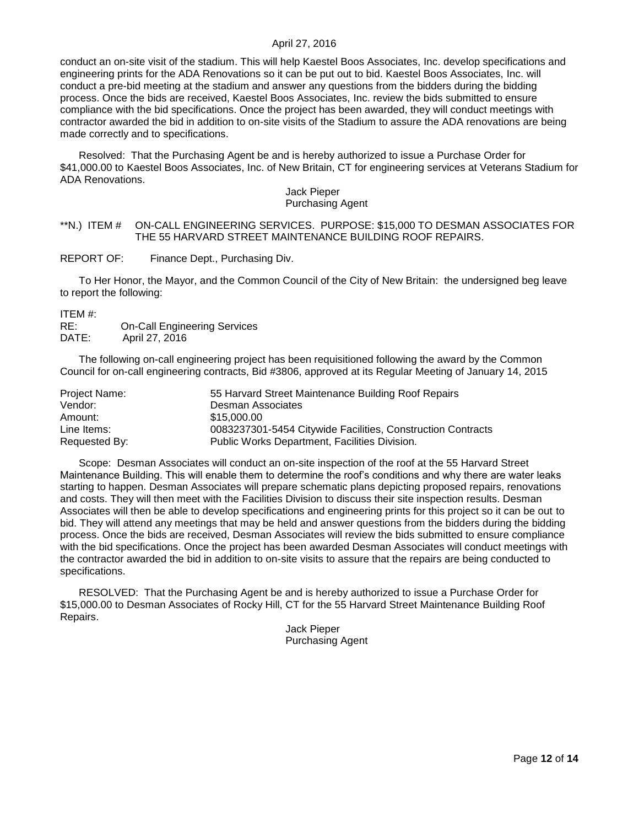conduct an on-site visit of the stadium. This will help Kaestel Boos Associates, Inc. develop specifications and engineering prints for the ADA Renovations so it can be put out to bid. Kaestel Boos Associates, Inc. will conduct a pre-bid meeting at the stadium and answer any questions from the bidders during the bidding process. Once the bids are received, Kaestel Boos Associates, Inc. review the bids submitted to ensure compliance with the bid specifications. Once the project has been awarded, they will conduct meetings with contractor awarded the bid in addition to on-site visits of the Stadium to assure the ADA renovations are being made correctly and to specifications.

Resolved: That the Purchasing Agent be and is hereby authorized to issue a Purchase Order for \$41,000.00 to Kaestel Boos Associates, Inc. of New Britain, CT for engineering services at Veterans Stadium for ADA Renovations.

#### Jack Pieper Purchasing Agent

## <span id="page-11-0"></span>\*\*N.) ITEM # ON-CALL ENGINEERING SERVICES. PURPOSE: \$15,000 TO DESMAN ASSOCIATES FOR THE 55 HARVARD STREET MAINTENANCE BUILDING ROOF REPAIRS.

REPORT OF: Finance Dept., Purchasing Div.

To Her Honor, the Mayor, and the Common Council of the City of New Britain: the undersigned beg leave to report the following:

ITEM #:

| RE:   | <b>On-Call Engineering Services</b> |
|-------|-------------------------------------|
| DATE: | April 27, 2016                      |

The following on-call engineering project has been requisitioned following the award by the Common Council for on-call engineering contracts, Bid #3806, approved at its Regular Meeting of January 14, 2015

| Project Name: | 55 Harvard Street Maintenance Building Roof Repairs         |
|---------------|-------------------------------------------------------------|
| Vendor:       | Desman Associates                                           |
| Amount:       | \$15,000.00                                                 |
| Line Items:   | 0083237301-5454 Citywide Facilities, Construction Contracts |
| Requested By: | Public Works Department, Facilities Division.               |

Scope: Desman Associates will conduct an on-site inspection of the roof at the 55 Harvard Street Maintenance Building. This will enable them to determine the roof's conditions and why there are water leaks starting to happen. Desman Associates will prepare schematic plans depicting proposed repairs, renovations and costs. They will then meet with the Facilities Division to discuss their site inspection results. Desman Associates will then be able to develop specifications and engineering prints for this project so it can be out to bid. They will attend any meetings that may be held and answer questions from the bidders during the bidding process. Once the bids are received, Desman Associates will review the bids submitted to ensure compliance with the bid specifications. Once the project has been awarded Desman Associates will conduct meetings with the contractor awarded the bid in addition to on-site visits to assure that the repairs are being conducted to specifications.

RESOLVED: That the Purchasing Agent be and is hereby authorized to issue a Purchase Order for \$15,000.00 to Desman Associates of Rocky Hill, CT for the 55 Harvard Street Maintenance Building Roof Repairs.

Jack Pieper Purchasing Agent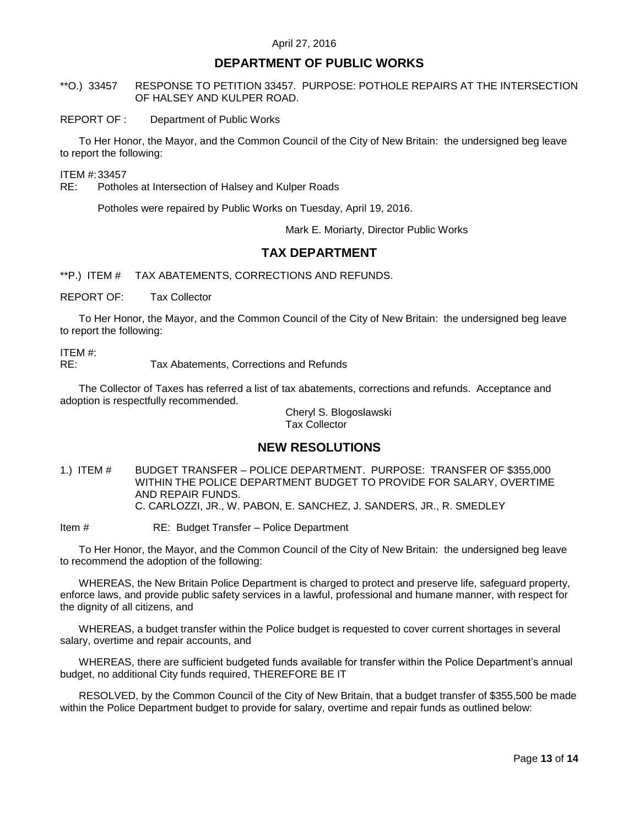## **DEPARTMENT OF PUBLIC WORKS**

<span id="page-12-0"></span>\*\*O.) 33457 RESPONSE TO PETITION 33457. PURPOSE: POTHOLE REPAIRS AT THE INTERSECTION OF HALSEY AND KULPER ROAD.

#### REPORT OF : Department of Public Works

To Her Honor, the Mayor, and the Common Council of the City of New Britain: the undersigned beg leave to report the following:

ITEM #:33457

RE: Potholes at Intersection of Halsey and Kulper Roads

Potholes were repaired by Public Works on Tuesday, April 19, 2016.

Mark E. Moriarty, Director Public Works

# **TAX DEPARTMENT**

<span id="page-12-1"></span>\*\*P.) ITEM # TAX ABATEMENTS, CORRECTIONS AND REFUNDS.

REPORT OF: Tax Collector

To Her Honor, the Mayor, and the Common Council of the City of New Britain: the undersigned beg leave to report the following:

ITEM #:

RE: Tax Abatements, Corrections and Refunds

The Collector of Taxes has referred a list of tax abatements, corrections and refunds. Acceptance and adoption is respectfully recommended.

> Cheryl S. Blogoslawski Tax Collector

## **NEW RESOLUTIONS**

<span id="page-12-2"></span>1.) ITEM # BUDGET TRANSFER – POLICE DEPARTMENT. PURPOSE: TRANSFER OF \$355,000 WITHIN THE POLICE DEPARTMENT BUDGET TO PROVIDE FOR SALARY, OVERTIME AND REPAIR FUNDS. C. CARLOZZI, JR., W. PABON, E. SANCHEZ, J. SANDERS, JR., R. SMEDLEY

Item # RE: Budget Transfer – Police Department

To Her Honor, the Mayor, and the Common Council of the City of New Britain: the undersigned beg leave to recommend the adoption of the following:

WHEREAS, the New Britain Police Department is charged to protect and preserve life, safeguard property, enforce laws, and provide public safety services in a lawful, professional and humane manner, with respect for the dignity of all citizens, and

WHEREAS, a budget transfer within the Police budget is requested to cover current shortages in several salary, overtime and repair accounts, and

WHEREAS, there are sufficient budgeted funds available for transfer within the Police Department's annual budget, no additional City funds required, THEREFORE BE IT

RESOLVED, by the Common Council of the City of New Britain, that a budget transfer of \$355,500 be made within the Police Department budget to provide for salary, overtime and repair funds as outlined below: